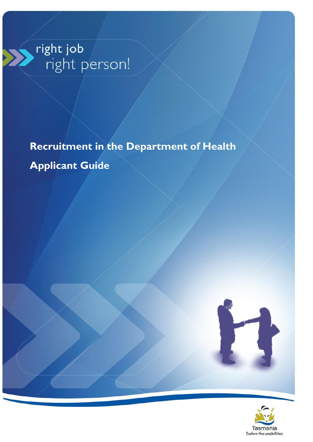# right job<br>| right person!

**Recruitment in the Department of Health Applicant Guide**



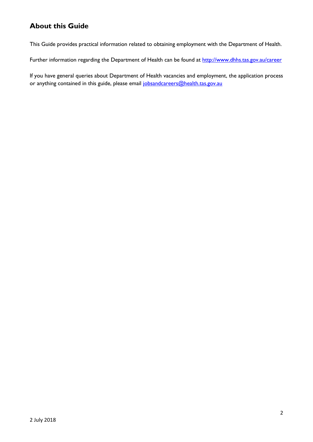# <span id="page-1-0"></span>**About this Guide**

This Guide provides practical information related to obtaining employment with the Department of Health.

Further information regarding the Department of Health can be found at<http://www.dhhs.tas.gov.au/career>

If you have general queries about Department of Health vacancies and employment, the application process or anything contained in this guide, please email [jobsandcareers@health.tas.gov.au](mailto:jobsandcareers@health.tas.gov.au)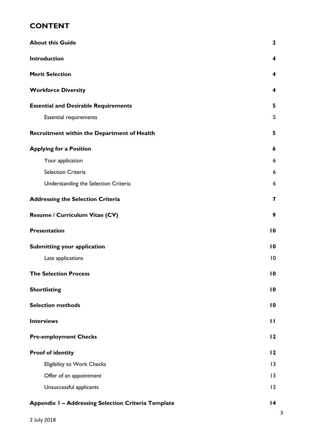# **CONTENT**

| <b>About this Guide</b>                                    |                         |  |  |
|------------------------------------------------------------|-------------------------|--|--|
| Introduction                                               | $\boldsymbol{4}$        |  |  |
| <b>Merit Selection</b>                                     | 4                       |  |  |
| <b>Workforce Diversity</b>                                 | $\overline{\mathbf{4}}$ |  |  |
| <b>Essential and Desirable Requirements</b>                | 5                       |  |  |
| <b>Essential requirements</b>                              | 5                       |  |  |
| Recruitment within the Department of Health                | 5                       |  |  |
| <b>Applying for a Position</b>                             | 6                       |  |  |
| Your application                                           | 6                       |  |  |
| Selection Criteria                                         | 6                       |  |  |
| Understanding the Selection Criteria                       | 6                       |  |  |
| <b>Addressing the Selection Criteria</b>                   | 7                       |  |  |
| Resume / Curriculum Vitae (CV)                             | 9                       |  |  |
| <b>Presentation</b>                                        | $\overline{10}$         |  |  |
| <b>Submitting your application</b>                         | 10                      |  |  |
| Late applications                                          | 10                      |  |  |
| <b>The Selection Process</b>                               | $\overline{10}$         |  |  |
| <b>Shortlisting</b>                                        | $\overline{10}$         |  |  |
| <b>Selection methods</b>                                   | $\overline{10}$         |  |  |
| <b>Interviews</b>                                          | $\mathbf{H}$            |  |  |
| <b>Pre-employment Checks</b>                               | 12                      |  |  |
| <b>Proof of identity</b>                                   | 12                      |  |  |
| <b>Eligibility to Work Checks</b>                          | 3                       |  |  |
| Offer of an appointment                                    | 13                      |  |  |
| Unsuccessful applicants                                    | 13                      |  |  |
| <b>Appendix I - Addressing Selection Criteria Template</b> | 4                       |  |  |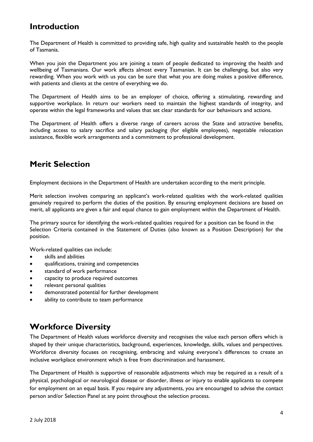# <span id="page-3-0"></span>**Introduction**

The Department of Health is committed to providing safe, high quality and sustainable health to the people of Tasmania.

When you join the Department you are joining a team of people dedicated to improving the health and wellbeing of Tasmanians. Our work affects almost every Tasmanian. It can be challenging, but also very rewarding. When you work with us you can be sure that what you are doing makes a positive difference, with patients and clients at the centre of everything we do.

The Department of Health aims to be an employer of choice, offering a stimulating, rewarding and supportive workplace. In return our workers need to maintain the highest standards of integrity, and operate within the legal frameworks and values that set clear standards for our behaviours and actions.

The Department of Health offers a diverse range of careers across the State and attractive benefits, including access to salary sacrifice and salary packaging (for eligible employees), negotiable relocation assistance, flexible work arrangements and a commitment to professional development.

# <span id="page-3-1"></span>**Merit Selection**

Employment decisions in the Department of Health are undertaken according to the merit principle.

Merit selection involves comparing an applicant's work-related qualities with the work-related qualities genuinely required to perform the duties of the position. By ensuring employment decisions are based on merit, all applicants are given a fair and equal chance to gain employment within the Department of Health.

The primary source for identifying the work-related qualities required for a position can be found in the Selection Criteria contained in the Statement of Duties (also known as a Position Description) for the position.

Work-related qualities can include:

- skills and abilities
- qualifications, training and competencies
- standard of work performance
- capacity to produce required outcomes
- relevant personal qualities
- demonstrated potential for further development
- ability to contribute to team performance

# <span id="page-3-2"></span>**Workforce Diversity**

The Department of Health values workforce diversity and recognises the value each person offers which is shaped by their unique characteristics, background, experiences, knowledge, skills, values and perspectives. Workforce diversity focuses on recognising, embracing and valuing everyone's differences to create an inclusive workplace environment which is free from discrimination and harassment.

The Department of Health is supportive of reasonable adjustments which may be required as a result of a physical, psychological or neurological disease or disorder, illness or injury to enable applicants to compete for employment on an equal basis. If you require any adjustments, you are encouraged to advise the contact person and/or Selection Panel at any point throughout the selection process.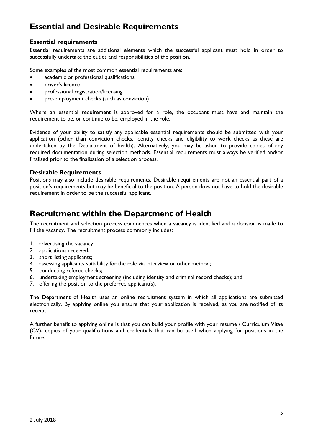# <span id="page-4-0"></span>**Essential and Desirable Requirements**

#### <span id="page-4-1"></span>**Essential requirements**

Essential requirements are additional elements which the successful applicant must hold in order to successfully undertake the duties and responsibilities of the position.

Some examples of the most common essential requirements are:

- academic or professional qualifications
- driver's licence
- professional registration/licensing
- pre-employment checks (such as conviction)

Where an essential requirement is approved for a role, the occupant must have and maintain the requirement to be, or continue to be, employed in the role.

Evidence of your ability to satisfy any applicable essential requirements should be submitted with your application (other than conviction checks, identity checks and eligibility to work checks as these are undertaken by the Department of health). Alternatively, you may be asked to provide copies of any required documentation during selection methods. Essential requirements must always be verified and/or finalised prior to the finalisation of a selection process.

#### **Desirable Requirements**

Positions may also include desirable requirements. Desirable requirements are not an essential part of a position's requirements but may be beneficial to the position. A person does not have to hold the desirable requirement in order to be the successful applicant.

# <span id="page-4-2"></span>**Recruitment within the Department of Health**

The recruitment and selection process commences when a vacancy is identified and a decision is made to fill the vacancy. The recruitment process commonly includes:

- 1. advertising the vacancy;
- 2. applications received;
- 3. short listing applicants;
- 4. assessing applicants suitability for the role via interview or other method;
- 5. conducting referee checks;
- 6. undertaking employment screening (including identity and criminal record checks); and
- 7. offering the position to the preferred applicant(s).

The Department of Health uses an online recruitment system in which all applications are submitted electronically. By applying online you ensure that your application is received, as you are notified of its receipt.

<span id="page-4-3"></span>A further benefit to applying online is that you can build your profile with your resume / Curriculum Vitae (CV), copies of your qualifications and credentials that can be used when applying for positions in the future.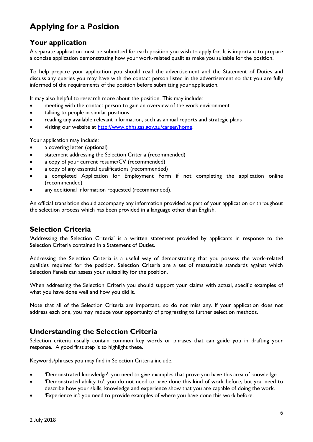# **Applying for a Position**

# <span id="page-5-0"></span>**Your application**

A separate application must be submitted for each position you wish to apply for. It is important to prepare a concise application demonstrating how your work-related qualities make you suitable for the position.

To help prepare your application you should read the advertisement and the Statement of Duties and discuss any queries you may have with the contact person listed in the advertisement so that you are fully informed of the requirements of the position before submitting your application.

It may also helpful to research more about the position. This may include:

- meeting with the contact person to gain an overview of the work environment
- talking to people in similar positions
- reading any available relevant information, such as annual reports and strategic plans
- visiting our website at [http://www.dhhs.tas.gov.au/career/home.](http://www.dhhs.tas.gov.au/career/home)

Your application may include:

- a covering letter (optional)
- statement addressing the Selection Criteria (recommended)
- a copy of your current resume/CV (recommended)
- a copy of any essential qualifications (recommended)
- a completed Application for Employment Form if not completing the application online (recommended)
- any additional information requested (recommended).

An official translation should accompany any information provided as part of your application or throughout the selection process which has been provided in a language other than English.

## <span id="page-5-1"></span>**Selection Criteria**

'Addressing the Selection Criteria' is a written statement provided by applicants in response to the Selection Criteria contained in a Statement of Duties.

Addressing the Selection Criteria is a useful way of demonstrating that you possess the work-related qualities required for the position. Selection Criteria are a set of measurable standards against which Selection Panels can assess your suitability for the position.

When addressing the Selection Criteria you should support your claims with actual, specific examples of what you have done well and how you did it.

Note that all of the Selection Criteria are important, so do not miss any. If your application does not address each one, you may reduce your opportunity of progressing to further selection methods.

## <span id="page-5-2"></span>**Understanding the Selection Criteria**

Selection criteria usually contain common key words or phrases that can guide you in drafting your response. A good first step is to highlight these.

Keywords/phrases you may find in Selection Criteria include:

- 'Demonstrated knowledge': you need to give examples that prove you have this area of knowledge.
- 'Demonstrated ability to': you do not need to have done this kind of work before, but you need to describe how your skills, knowledge and experience show that you are capable of doing the work.
- 'Experience in': you need to provide examples of where you have done this work before.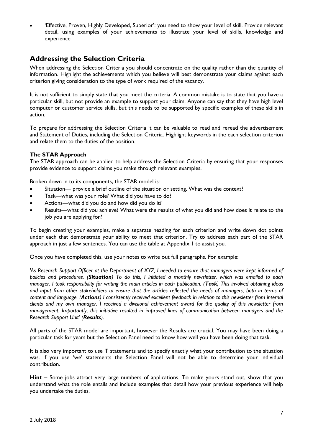'Effective, Proven, Highly Developed, Superior': you need to show your level of skill. Provide relevant detail, using examples of your achievements to illustrate your level of skills, knowledge and experience

# <span id="page-6-0"></span>**Addressing the Selection Criteria**

When addressing the Selection Criteria you should concentrate on the quality rather than the quantity of information. Highlight the achievements which you believe will best demonstrate your claims against each criterion giving consideration to the type of work required of the vacancy.

It is not sufficient to simply state that you meet the criteria. A common mistake is to state that you have a particular skill, but not provide an example to support your claim. Anyone can say that they have high level computer or customer service skills, but this needs to be supported by specific examples of these skills in action.

To prepare for addressing the Selection Criteria it can be valuable to read and reread the advertisement and Statement of Duties, including the Selection Criteria. Highlight keywords in the each selection criterion and relate them to the duties of the position.

#### **The STAR Approach**

The STAR approach can be applied to help address the Selection Criteria by ensuring that your responses provide evidence to support claims you make through relevant examples.

Broken down in to its components, the STAR model is:

- Situation— provide a brief outline of the situation or setting. What was the context?
- Task—what was your role? What did you have to do?
- Actions—what did you do and how did you do it?
- Results—what did you achieve? What were the results of what you did and how does it relate to the job you are applying for?

To begin creating your examples, make a separate heading for each criterion and write down dot points under each that demonstrate your ability to meet that criterion. Try to address each part of the STAR approach in just a few sentences. You can use the table at Appendix 1 to assist you.

Once you have completed this, use your notes to write out full paragraphs. For example:

'As Research Support Officer at the Department of XYZ, I needed to ensure that managers were kept informed of *policies and procedures. (Situation) To do this, I initiated a monthly newsletter, which was emailed to each manager. I took responsibility for writing the main articles in each publication. (Task) This involved obtaining ideas and input from other stakeholders to ensure that the articles reflected the needs of managers, both in terms of content and language. (Actions) I consistently received excellent feedback in relation to this newsletter from internal clients and my own manager. I received a divisional achievement award for the quality of this newsletter from management. Importantly, this initiative resulted in improved lines of communication between managers and the Research Support Unit' (Results).*

All parts of the STAR model are important, however the Results are crucial. You may have been doing a particular task for years but the Selection Panel need to know how well you have been doing that task.

It is also very important to use 'I' statements and to specify exactly what your contribution to the situation was. If you use 'we' statements the Selection Panel will not be able to determine your individual contribution.

**Hint** – Some jobs attract very large numbers of applications. To make yours stand out, show that you understand what the role entails and include examples that detail how your previous experience will help you undertake the duties.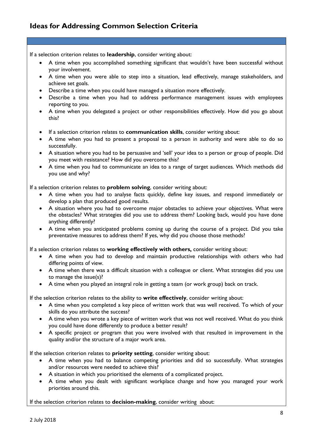# **Ideas for Addressing Common Selection Criteria**

If a selection criterion relates to **leadership**, consider writing about:

- A time when you accomplished something significant that wouldn't have been successful without your involvement.
- A time when you were able to step into a situation, lead effectively, manage stakeholders, and achieve set goals.
- Describe a time when you could have managed a situation more effectively.
- Describe a time when you had to address performance management issues with employees reporting to you.
- A time when you delegated a project or other responsibilities effectively. How did you go about this?
- If a selection criterion relates to **communication skills**, consider writing about:
- A time when you had to present a proposal to a person in authority and were able to do so successfully.
- A situation where you had to be persuasive and 'sell' your idea to a person or group of people. Did you meet with resistance? How did you overcome this?
- A time when you had to communicate an idea to a range of target audiences. Which methods did you use and why?

If a selection criterion relates to **problem solving**, consider writing about:

- A time when you had to analyse facts quickly, define key issues, and respond immediately or develop a plan that produced good results.
- A situation where you had to overcome major obstacles to achieve your objectives. What were the obstacles? What strategies did you use to address them? Looking back, would you have done anything differently?
- A time when you anticipated problems coming up during the course of a project. Did you take preventative measures to address them? If yes, why did you choose those methods?

If a selection criterion relates to **working effectively with others,** consider writing about:

- A time when you had to develop and maintain productive relationships with others who had differing points of view.
- A time when there was a difficult situation with a colleague or client. What strategies did you use to manage the issue(s)?
- A time when you played an integral role in getting a team (or work group) back on track.

If the selection criterion relates to the ability to **write effectively**, consider writing about:

- A time when you completed a key piece of written work that was well received. To which of your skills do you attribute the success?
- A time when you wrote a key piece of written work that was not well received. What do you think you could have done differently to produce a better result?
- A specific project or program that you were involved with that resulted in improvement in the quality and/or the structure of a major work area.

If the selection criterion relates to **priority setting**, consider writing about:

- A time when you had to balance competing priorities and did so successfully. What strategies and/or resources were needed to achieve this?
- A situation in which you prioritised the elements of a complicated project.
- A time when you dealt with significant workplace change and how you managed your work priorities around this.

If the selection criterion relates to **decision-making**, consider writing about: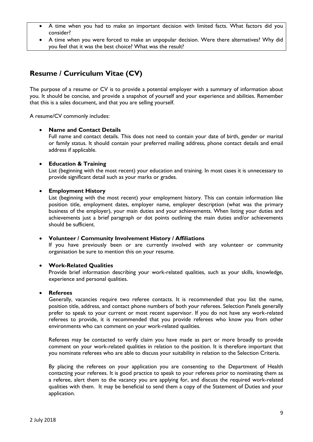- A time when you had to make an important decision with limited facts. What factors did you consider?
- A time when you were forced to make an unpopular decision. Were there alternatives? Why did you feel that it was the best choice? What was the result?

# <span id="page-8-0"></span>**Resume / Curriculum Vitae (CV)**

The purpose of a resume or CV is to provide a potential employer with a summary of information about you. It should be concise, and provide a snapshot of yourself and your experience and abilities. Remember that this is a sales document, and that you are selling yourself.

A resume/CV commonly includes:

#### **Name and Contact Details**

Full name and contact details. This does not need to contain your date of birth, gender or marital or family status. It should contain your preferred mailing address, phone contact details and email address if applicable.

#### **Education & Training**

List (beginning with the most recent) your education and training. In most cases it is unnecessary to provide significant detail such as your marks or grades.

#### **Employment History**

List (beginning with the most recent) your employment history. This can contain information like position title, employment dates, employer name, employer description (what was the primary business of the employer), your main duties and your achievements. When listing your duties and achievements just a brief paragraph or dot points outlining the main duties and/or achievements should be sufficient.

#### **Volunteer / Community Involvement History / Affiliations**

If you have previously been or are currently involved with any volunteer or community organisation be sure to mention this on your resume.

#### **Work-Related Qualities**

Provide brief information describing your work-related qualities, such as your skills, knowledge, experience and personal qualities.

#### **Referees**

Generally, vacancies require two referee contacts. It is recommended that you list the name, position title, address, and contact phone numbers of both your referees. Selection Panels generally prefer to speak to your current or most recent supervisor. If you do not have any work-related referees to provide, it is recommended that you provide referees who know you from other environments who can comment on your work-related qualities.

Referees may be contacted to verify claim you have made as part or more broadly to provide comment on your work-related qualities in relation to the position. It is therefore important that you nominate referees who are able to discuss your suitability in relation to the Selection Criteria.

By placing the referees on your application you are consenting to the Department of Health contacting your referees. It is good practice to speak to your referees prior to nominating them as a referee, alert them to the vacancy you are applying for, and discuss the required work-related qualities with them. It may be beneficial to send them a copy of the Statement of Duties and your application.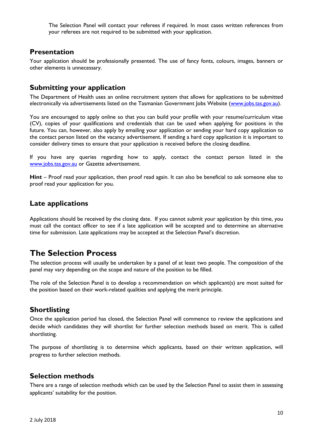The Selection Panel will contact your referees if required. In most cases written references from your referees are not required to be submitted with your application.

## <span id="page-9-0"></span>**Presentation**

Your application should be professionally presented. The use of fancy fonts, colours, images, banners or other elements is unnecessary.

## <span id="page-9-1"></span>**Submitting your application**

The Department of Health uses an online recruitment system that allows for applications to be submitted electronically via advertisements listed on the Tasmanian Government Jobs Website [\(www.jobs.tas.gov.au\)](http://www.jobs.tas.gov.au/).

You are encouraged to apply online so that you can build your profile with your resume/curriculum vitae (CV), copies of your qualifications and credentials that can be used when applying for positions in the future. You can, however, also apply by emailing your application or sending your hard copy application to the contact person listed on the vacancy advertisement. If sending a hard copy application it is important to consider delivery times to ensure that your application is received before the closing deadline.

If you have any queries regarding how to apply, contact the contact person listed in the [www.jobs.tas.gov.au](http://www.jobs.tas.gov.au/) or Gazette advertisement.

**Hint** – Proof read your application, then proof read again. It can also be beneficial to ask someone else to proof read your application for you.

## <span id="page-9-2"></span>**Late applications**

Applications should be received by the closing date. If you cannot submit your application by this time, you must call the contact officer to see if a late application will be accepted and to determine an alternative time for submission. Late applications may be accepted at the Selection Panel's discretion.

# <span id="page-9-3"></span>**The Selection Process**

The selection process will usually be undertaken by a panel of at least two people. The composition of the panel may vary depending on the scope and nature of the position to be filled.

The role of the Selection Panel is to develop a recommendation on which applicant(s) are most suited for the position based on their work-related qualities and applying the merit principle.

## <span id="page-9-4"></span>**Shortlisting**

Once the application period has closed, the Selection Panel will commence to review the applications and decide which candidates they will shortlist for further selection methods based on merit. This is called shortlisting.

The purpose of shortlisting is to determine which applicants, based on their written application, will progress to further selection methods.

## <span id="page-9-5"></span>**Selection methods**

There are a range of selection methods which can be used by the Selection Panel to assist them in assessing applicants' suitability for the position.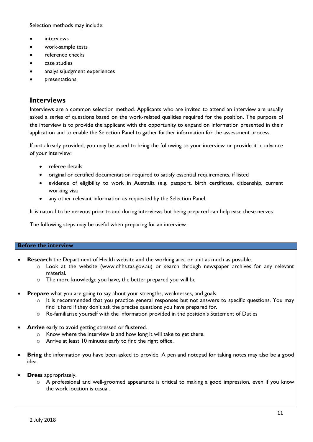Selection methods may include:

- **•** interviews
- work-sample tests
- reference checks
- case studies
- analysis/judgment experiences
- presentations

## <span id="page-10-0"></span>**Interviews**

Interviews are a common selection method. Applicants who are invited to attend an interview are usually asked a series of questions based on the work-related qualities required for the position. The purpose of the interview is to provide the applicant with the opportunity to expand on information presented in their application and to enable the Selection Panel to gather further information for the assessment process.

If not already provided, you may be asked to bring the following to your interview or provide it in advance of your interview:

- referee details
- original or certified documentation required to satisfy essential requirements, if listed
- evidence of eligibility to work in Australia (e.g. passport, birth certificate, citizenship, current working visa
- any other relevant information as requested by the Selection Panel.

It is natural to be nervous prior to and during interviews but being prepared can help ease these nerves.

The following steps may be useful when preparing for an interview.

#### **Before the interview**

- **Research** the Department of Health website and the working area or unit as much as possible.
	- $\circ$  Look at the website (www.dhhs.tas.gov.au) or search through newspaper archives for any relevant material.
	- o The more knowledge you have, the better prepared you will be
- **Prepare** what you are going to say about your strengths, weaknesses, and goals.
	- $\circ$  It is recommended that you practice general responses but not answers to specific questions. You may find it hard if they don't ask the precise questions you have prepared for.
	- $\circ$  Re-familiarise yourself with the information provided in the position's Statement of Duties
- **Arrive** early to avoid getting stressed or flustered.
	- o Know where the interview is and how long it will take to get there.
	- o Arrive at least 10 minutes early to find the right office.
- **Bring** the information you have been asked to provide. A pen and notepad for taking notes may also be a good idea.
- **Dress** appropriately.
	- o A professional and well-groomed appearance is critical to making a good impression, even if you know the work location is casual.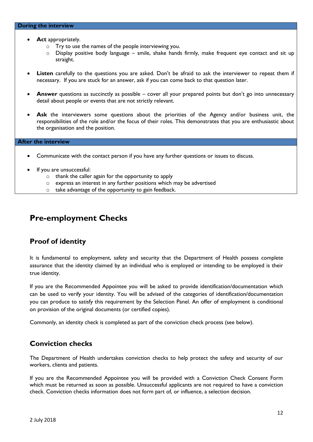#### **During the interview**

- Act appropriately.
	- o Try to use the names of the people interviewing you.
	- $\circ$  Display positive body language smile, shake hands firmly, make frequent eye contact and sit up straight.
- **Listen** carefully to the questions you are asked. Don't be afraid to ask the interviewer to repeat them if necessary. If you are stuck for an answer, ask if you can come back to that question later.
- **Answer** questions as succinctly as possible cover all your prepared points but don't go into unnecessary detail about people or events that are not strictly relevant.
- Ask the interviewers some questions about the priorities of the Agency and/or business unit, the responsibilities of the role and/or the focus of their roles. This demonstrates that you are enthusiastic about the organisation and the position.

#### **After the interview**

- Communicate with the contact person if you have any further questions or issues to discuss.
- If you are unsuccessful:
	- o thank the caller again for the opportunity to apply
	- o express an interest in any further positions which may be advertised
	- o take advantage of the opportunity to gain feedback.

# <span id="page-11-1"></span><span id="page-11-0"></span>**Pre-employment Checks**

## **Proof of identity**

It is fundamental to employment, safety and security that the Department of Health possess complete assurance that the identity claimed by an individual who is employed or intending to be employed is their true identity.

If you are the Recommended Appointee you will be asked to provide identification/documentation which can be used to verify your identity. You will be advised of the categories of identification/documentation you can produce to satisfy this requirement by the Selection Panel. An offer of employment is conditional on provision of the original documents (or certified copies).

Commonly, an identity check is completed as part of the conviction check process (see below).

## **Conviction checks**

The Department of Health undertakes conviction checks to help protect the safety and security of our workers, clients and patients.

If you are the Recommended Appointee you will be provided with a Conviction Check Consent Form which must be returned as soon as possible. Unsuccessful applicants are not required to have a conviction check. Conviction checks information does not form part of, or influence, a selection decision.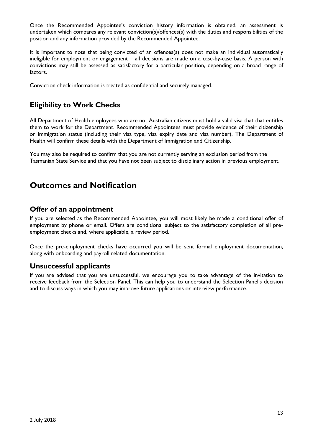Once the Recommended Appointee's conviction history information is obtained, an assessment is undertaken which compares any relevant conviction(s)/offences(s) with the duties and responsibilities of the position and any information provided by the Recommended Appointee.

It is important to note that being convicted of an offences(s) does not make an individual automatically ineligible for employment or engagement – all decisions are made on a case-by-case basis. A person with convictions may still be assessed as satisfactory for a particular position, depending on a broad range of factors.

Conviction check information is treated as confidential and securely managed.

# <span id="page-12-0"></span>**Eligibility to Work Checks**

All Department of Health employees who are not Australian citizens must hold a valid visa that that entitles them to work for the Department. Recommended Appointees must provide evidence of their citizenship or immigration status (including their visa type, visa expiry date and visa number). The Department of Health will confirm these details with the Department of Immigration and Citizenship.

You may also be required to confirm that you are not currently serving an exclusion period from the Tasmanian State Service and that you have not been subject to disciplinary action in previous employment.

# **Outcomes and Notification**

## <span id="page-12-1"></span>**Offer of an appointment**

If you are selected as the Recommended Appointee, you will most likely be made a conditional offer of employment by phone or email. Offers are conditional subject to the satisfactory completion of all preemployment checks and, where applicable, a review period.

Once the pre-employment checks have occurred you will be sent formal employment documentation, along with onboarding and payroll related documentation.

## <span id="page-12-2"></span>**Unsuccessful applicants**

If you are advised that you are unsuccessful, we encourage you to take advantage of the invitation to receive feedback from the Selection Panel. This can help you to understand the Selection Panel's decision and to discuss ways in which you may improve future applications or interview performance.